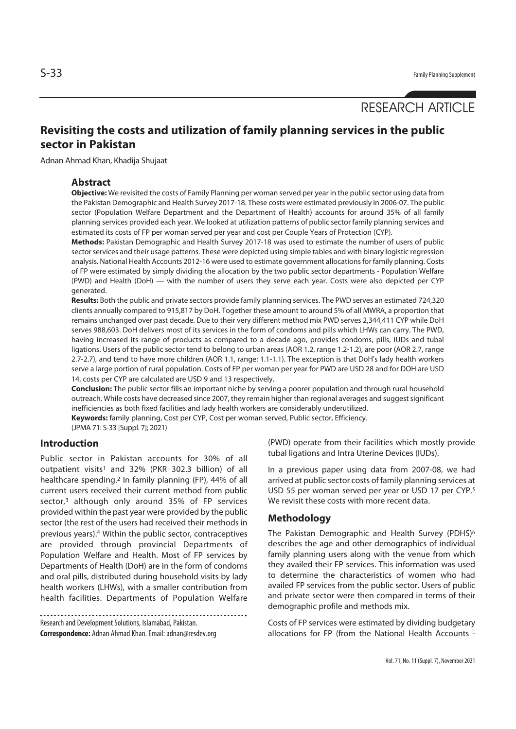# RESEARCH ARTICLE

## **Revisiting the costs and utilization of family planning services in the public sector in Pakistan**

Adnan Ahmad Khan, Khadija Shujaat

#### **Abstract**

**Objective:** We revisited the costs of Family Planning per woman served per year in the public sector using data from the Pakistan Demographic and Health Survey 2017-18. These costs were estimated previously in 2006-07. The public sector (Population Welfare Department and the Department of Health) accounts for around 35% of all family planning services provided each year. We looked at utilization patterns of public sector family planning services and estimated its costs of FP per woman served per year and cost per Couple Years of Protection (CYP).

**Methods:** Pakistan Demographic and Health Survey 2017-18 was used to estimate the number of users of public sector services and their usage patterns. These were depicted using simple tables and with binary logistic regression analysis. National Health Accounts 2012-16 were used to estimate government allocations for family planning. Costs of FP were estimated by simply dividing the allocation by the two public sector departments - Population Welfare (PWD) and Health (DoH) — with the number of users they serve each year. Costs were also depicted per CYP generated.

**Results:** Both the public and private sectors provide family planning services. The PWD serves an estimated 724,320 clients annually compared to 915,817 by DoH. Together these amount to around 5% of all MWRA, a proportion that remains unchanged over past decade. Due to their very different method mix PWD serves 2,344,411 CYP while DoH serves 988,603. DoH delivers most of its services in the form of condoms and pills which LHWs can carry. The PWD, having increased its range of products as compared to a decade ago, provides condoms, pills, IUDs and tubal ligations. Users of the public sector tend to belong to urban areas (AOR 1.2, range 1.2-1.2), are poor (AOR 2.7, range 2.7-2.7), and tend to have more children (AOR 1.1, range: 1.1-1.1). The exception is that DoH's lady health workers serve a large portion of rural population. Costs of FP per woman per year for PWD are USD 28 and for DOH are USD 14, costs per CYP are calculated are USD 9 and 13 respectively.

**Conclusion:** The public sector fills an important niche by serving a poorer population and through rural household outreach. While costs have decreased since 2007, they remain higher than regional averages and suggest significant inefficiencies as both fixed facilities and lady health workers are considerably underutilized. **Keywords:** family planning, Cost per CYP, Cost per woman served, Public sector, Efficiency.

(JPMA 71: S-33 [Suppl. 7]; 2021)

### **Introduction**

Public sector in Pakistan accounts for 30% of all outpatient visits<sup>1</sup> and 32% (PKR 302.3 billion) of all healthcare spending.2 In family planning (FP), 44% of all current users received their current method from public sector,<sup>3</sup> although only around 35% of FP services provided within the past year were provided by the public sector (the rest of the users had received their methods in previous years).4 Within the public sector, contraceptives are provided through provincial Departments of Population Welfare and Health. Most of FP services by Departments of Health (DoH) are in the form of condoms and oral pills, distributed during household visits by lady health workers (LHWs), with a smaller contribution from health facilities. Departments of Population Welfare

Research and Development Solutions, Islamabad, Pakistan. **Correspondence:** Adnan Ahmad Khan. Email: adnan@resdev.org (PWD) operate from their facilities which mostly provide tubal ligations and Intra Uterine Devices (IUDs).

In a previous paper using data from 2007-08, we had arrived at public sector costs of family planning services at USD 55 per woman served per year or USD 17 per CYP.<sup>5</sup> We revisit these costs with more recent data.

#### **Methodology**

The Pakistan Demographic and Health Survey (PDHS)<sup>6</sup> describes the age and other demographics of individual family planning users along with the venue from which they availed their FP services. This information was used to determine the characteristics of women who had availed FP services from the public sector. Users of public and private sector were then compared in terms of their demographic profile and methods mix.

Costs of FP services were estimated by dividing budgetary allocations for FP (from the National Health Accounts -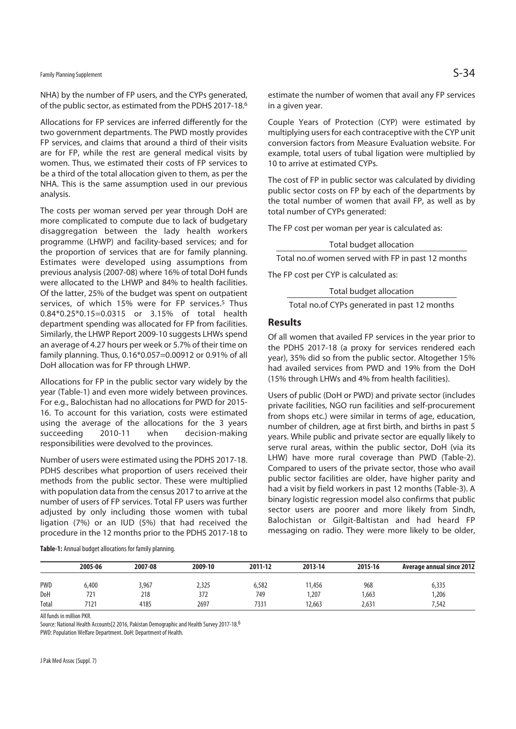NHA) by the number of FP users, and the CYPs generated, of the public sector, as estimated from the PDHS 2017-18.6

Allocations for FP services are inferred differently for the two government departments. The PWD mostly provides FP services, and claims that around a third of their visits are for FP, while the rest are general medical visits by women. Thus, we estimated their costs of FP services to be a third of the total allocation given to them, as per the NHA. This is the same assumption used in our previous analysis.

The costs per woman served per year through DoH are more complicated to compute due to lack of budgetary disaggregation between the lady health workers programme (LHWP) and facility-based services; and for the proportion of services that are for family planning. Estimates were developed using assumptions from previous analysis (2007-08) where 16% of total DoH funds were allocated to the LHWP and 84% to health facilities. Of the latter, 25% of the budget was spent on outpatient services, of which 15% were for FP services.<sup>5</sup> Thus 0.84\*0.25\*0.15=0.0315 or 3.15% of total health department spending was allocated for FP from facilities. Similarly, the LHWP Report 2009-10 suggests LHWs spend an average of 4.27 hours per week or 5.7% of their time on family planning. Thus, 0.16\*0.057=0.00912 or 0.91% of all DoH allocation was for FP through LHWP.

Allocations for FP in the public sector vary widely by the year (Table-1) and even more widely between provinces. For e.g., Balochistan had no allocations for PWD for 2015- 16. To account for this variation, costs were estimated using the average of the allocations for the 3 years succeeding 2010-11 when decision-making responsibilities were devolved to the provinces.

Number of users were estimated using the PDHS 2017-18. PDHS describes what proportion of users received their methods from the public sector. These were multiplied with population data from the census 2017 to arrive at the number of users of FP services. Total FP users was further adjusted by only including those women with tubal ligation (7%) or an IUD (5%) that had received the procedure in the 12 months prior to the PDHS 2017-18 to

estimate the number of women that avail any FP services in a given year.

Couple Years of Protection (CYP) were estimated by multiplying users for each contraceptive with the CYP unit conversion factors from Measure Evaluation website. For example, total users of tubal ligation were multiplied by 10 to arrive at estimated CYPs.

The cost of FP in public sector was calculated by dividing public sector costs on FP by each of the departments by the total number of women that avail FP, as well as by total number of CYPs generated:

The FP cost per woman per year is calculated as:

Total budget allocation

Total no.of women served with FP in past 12 months

The FP cost per CYP is calculated as:

Total budget allocation

Total no.of CYPs generated in past 12 months

#### **Results**

Of all women that availed FP services in the year prior to the PDHS 2017-18 (a proxy for services rendered each year), 35% did so from the public sector. Altogether 15% had availed services from PWD and 19% from the DoH (15% through LHWs and 4% from health facilities).

Users of public (DoH or PWD) and private sector (includes private facilities, NGO run facilities and self-procurement from shops etc.) were similar in terms of age, education, number of children, age at first birth, and births in past 5 years. While public and private sector are equally likely to serve rural areas, within the public sector, DoH (via its LHW) have more rural coverage than PWD (Table-2). Compared to users of the private sector, those who avail public sector facilities are older, have higher parity and had a visit by field workers in past 12 months (Table-3). A binary logistic regression model also confirms that public sector users are poorer and more likely from Sindh, Balochistan or Gilgit-Baltistan and had heard FP messaging on radio. They were more likely to be older,

| Table-1: Annual budget allocations for family planning. |  |
|---------------------------------------------------------|--|
|---------------------------------------------------------|--|

|            | 2005-06 | 2007-08 | 2009-10 | 2011-12 | 2013-14 | 2015-16 | <b>Average annual since 2012</b> |
|------------|---------|---------|---------|---------|---------|---------|----------------------------------|
| <b>PWD</b> | 6,400   | 3,967   | 2,325   | 6,582   | 11.456  | 968     | 6,335                            |
| DoH        | 721     | 218     | 372     | 749     | .207    | 1,663   | 1,206                            |
| Total      | 7121    | 4185    | 2697    | 7331    | 12,663  | 2,631   | 7.542                            |

All funds in million PKR.

Source: National Health Accounts[2 2016, Pakistan Demographic and Health Survey 2017-18.6

PWD: Population Welfare Department. DoH: Department of Health.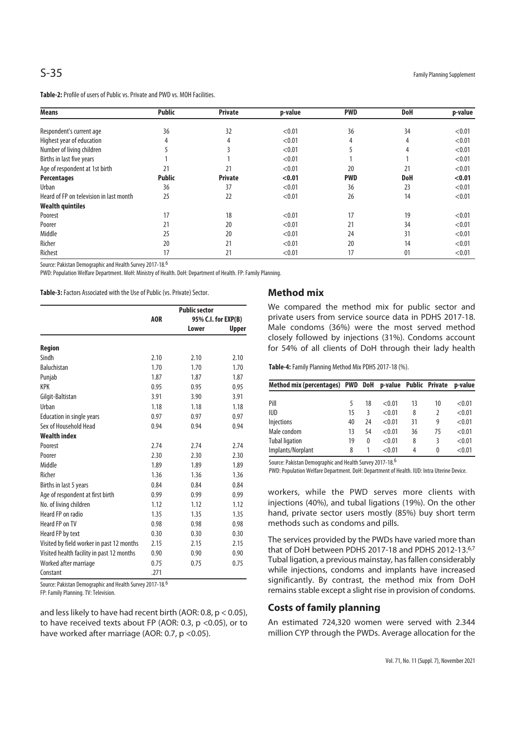**Table-2:** Profile of users of Public vs. Private and PWD vs. MOH Facilities.

| <b>Means</b>                            | <b>Public</b> | <b>Private</b> | p-value | <b>PWD</b> | DoH        | p-value |
|-----------------------------------------|---------------|----------------|---------|------------|------------|---------|
|                                         | 36            | 32             | < 0.01  | 36         | 34         | < 0.01  |
| Respondent's current age                |               |                |         |            |            |         |
| Highest year of education               |               | 4              | < 0.01  | 4          | 4          | < 0.01  |
| Number of living children               |               |                | < 0.01  |            |            | < 0.01  |
| Births in last five years               |               |                | < 0.01  |            |            | < 0.01  |
| Age of respondent at 1st birth          | 21            | 21             | < 0.01  | 20         | 21         | < 0.01  |
| <b>Percentages</b>                      | <b>Public</b> | <b>Private</b> | < 0.01  | <b>PWD</b> | <b>DoH</b> | < 0.01  |
| Urban                                   | 36            | 37             | < 0.01  | 36         | 23         | < 0.01  |
| Heard of FP on television in last month | 25            | 22             | < 0.01  | 26         | 14         | < 0.01  |
| <b>Wealth quintiles</b>                 |               |                |         |            |            |         |
| Poorest                                 | 17            | 18             | < 0.01  | 17         | 19         | < 0.01  |
| Poorer                                  | 21            | 20             | < 0.01  | 21         | 34         | < 0.01  |
| Middle                                  | 25            | 20             | < 0.01  | 24         | 31         | < 0.01  |
| Richer                                  | 20            | 21             | < 0.01  | 20         | 14         | < 0.01  |
| Richest                                 | 17            | 21             | < 0.01  | 17         | 01         | < 0.01  |

Source: Pakistan Demographic and Health Survey 2017-18.6

PWD: Population Welfare Department. MoH: Ministry of Health. DoH: Department of Health. FP: Family Planning.

**Table-3:** Factors Associated with the Use of Public (vs. Private) Sector.

|                                           | <b>Public sector</b> |                     |       |  |
|-------------------------------------------|----------------------|---------------------|-------|--|
|                                           | AOR                  | 95% C.I. for EXP(B) |       |  |
|                                           |                      | Lower               | Upper |  |
| <b>Region</b>                             |                      |                     |       |  |
| Sindh                                     | 2.10                 | 2.10                | 2.10  |  |
| <b>Baluchistan</b>                        | 1.70                 | 1.70                | 1.70  |  |
| Punjab                                    | 1.87                 | 1.87                | 1.87  |  |
| <b>KPK</b>                                | 0.95                 | 0.95                | 0.95  |  |
| Gilgit-Baltistan                          | 3.91                 | 3.90                | 3.91  |  |
| Urban                                     | 1.18                 | 1.18                | 1.18  |  |
| <b>Education in single years</b>          | 0.97                 | 0.97                | 0.97  |  |
| Sex of Household Head                     | 0.94                 | 0.94                | 0.94  |  |
| <b>Wealth index</b>                       |                      |                     |       |  |
| Poorest                                   | 2.74                 | 2.74                | 2.74  |  |
| Poorer                                    | 2.30                 | 2.30                | 2.30  |  |
| Middle                                    | 1.89                 | 1.89                | 1.89  |  |
| Richer                                    | 1.36                 | 1.36                | 1.36  |  |
| Births in last 5 years                    | 0.84                 | 0.84                | 0.84  |  |
| Age of respondent at first birth          | 0.99                 | 0.99                | 0.99  |  |
| No. of living children                    | 1.12                 | 1.12                | 1.12  |  |
| Heard FP on radio                         | 1.35                 | 1.35                | 1.35  |  |
| Heard FP on TV                            | 0.98                 | 0.98                | 0.98  |  |
| Heard FP by text                          | 0.30                 | 0.30                | 0.30  |  |
| Visited by field worker in past 12 months | 2.15                 | 2.15                | 2.15  |  |
| Visited health facility in past 12 months | 0.90                 | 0.90                | 0.90  |  |
| Worked after marriage                     | 0.75                 | 0.75                | 0.75  |  |
| Constant                                  | .271                 |                     |       |  |

Source: Pakistan Demographic and Health Survey 2017-18.6

FP: Family Planning. TV: Television.

and less likely to have had recent birth (AOR: 0.8, p < 0.05), to have received texts about FP (AOR: 0.3,  $p$  < 0.05), or to have worked after marriage (AOR: 0.7, p < 0.05).

#### **Method mix**

We compared the method mix for public sector and private users from service source data in PDHS 2017-18. Male condoms (36%) were the most served method closely followed by injections (31%). Condoms account for 54% of all clients of DoH through their lady health

**Table-4:** Family Planning Method Mix PDHS 2017-18 (%).

| Method mix (percentages) PWD DoH |    |          | p-value Public Private |    |    | p-value |
|----------------------------------|----|----------|------------------------|----|----|---------|
|                                  |    |          |                        |    |    |         |
| Pill                             | 5  | 18       | < 0.01                 | 13 | 10 | < 0.01  |
| <b>IUD</b>                       | 15 | ξ        | < 0.01                 | 8  | 2  | < 0.01  |
| <b>Injections</b>                | 40 | 24       | < 0.01                 | 31 | 9  | < 0.01  |
| Male condom                      | 13 | 54       | < 0.01                 | 36 | 75 | < 0.01  |
| <b>Tubal ligation</b>            | 19 | $\theta$ | < 0.01                 | 8  | 3  | < 0.01  |
| Implants/Norplant                | 8  |          | < 0.01                 | 4  | 0  | < 0.01  |

Source: Pakistan Demographic and Health Survey 2017-18.6

PWD: Population Welfare Department. DoH: Department of Health. IUD: Intra Uterine Device.

workers, while the PWD serves more clients with injections (40%), and tubal ligations (19%). On the other hand, private sector users mostly (85%) buy short term methods such as condoms and pills.

The services provided by the PWDs have varied more than that of DoH between PDHS 2017-18 and PDHS 2012-13.6,7 Tubal ligation, a previous mainstay, has fallen considerably while injections, condoms and implants have increased significantly. By contrast, the method mix from DoH remains stable except a slight rise in provision of condoms.

#### **Costs of family planning**

An estimated 724,320 women were served with 2.344 million CYP through the PWDs. Average allocation for the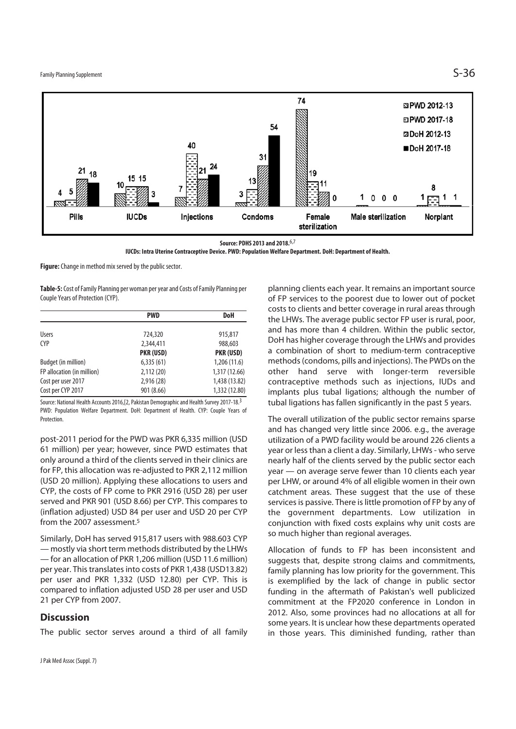

**Source: PDHS 2013 and 2018.**6,7

**IUCDs: Intra Uterine Contraceptive Device. PWD: Population Welfare Department. DoH: Department of Health.** 

**Figure:** Change in method mix served by the public sector.

**Table-5:** Cost of Family Planning per woman per year and Costs of Family Planning per Couple Years of Protection (CYP).

|                            | <b>PWD</b> | <b>DoH</b>    |
|----------------------------|------------|---------------|
| <b>Users</b>               | 724,320    | 915,817       |
| <b>CYP</b>                 | 2,344,411  | 988,603       |
|                            | PKR (USD)  | PKR (USD)     |
| Budget (in million)        | 6,335(61)  | 1,206(11.6)   |
| FP allocation (in million) | 2,112(20)  | 1,317 (12.66) |
| Cost per user 2017         | 2,916 (28) | 1,438 (13.82) |
| Cost per CYP 2017          | 901 (8.66) | 1,332 (12.80) |

Source: National Health Accounts 2016,[2, Pakistan Demographic and Health Survey 2017-18.3 PWD: Population Welfare Department. DoH: Department of Health. CYP: Couple Years of Protection.

post-2011 period for the PWD was PKR 6,335 million (USD 61 million) per year; however, since PWD estimates that only around a third of the clients served in their clinics are for FP, this allocation was re-adjusted to PKR 2,112 million (USD 20 million). Applying these allocations to users and CYP, the costs of FP come to PKR 2916 (USD 28) per user served and PKR 901 (USD 8.66) per CYP. This compares to (inflation adjusted) USD 84 per user and USD 20 per CYP from the 2007 assessment.5

Similarly, DoH has served 915,817 users with 988.603 CYP — mostly via short term methods distributed by the LHWs — for an allocation of PKR 1,206 million (USD 11.6 million) per year. This translates into costs of PKR 1,438 (USD13.82) per user and PKR 1,332 (USD 12.80) per CYP. This is compared to inflation adjusted USD 28 per user and USD 21 per CYP from 2007.

#### **Discussion**

The public sector serves around a third of all family

planning clients each year. It remains an important source of FP services to the poorest due to lower out of pocket costs to clients and better coverage in rural areas through the LHWs. The average public sector FP user is rural, poor, and has more than 4 children. Within the public sector, DoH has higher coverage through the LHWs and provides a combination of short to medium-term contraceptive methods (condoms, pills and injections). The PWDs on the other hand serve with longer-term reversible contraceptive methods such as injections, IUDs and implants plus tubal ligations; although the number of tubal ligations has fallen significantly in the past 5 years.

The overall utilization of the public sector remains sparse and has changed very little since 2006. e.g., the average utilization of a PWD facility would be around 226 clients a year or less than a client a day. Similarly, LHWs - who serve nearly half of the clients served by the public sector each year — on average serve fewer than 10 clients each year per LHW, or around 4% of all eligible women in their own catchment areas. These suggest that the use of these services is passive. There is little promotion of FP by any of the government departments. Low utilization in conjunction with fixed costs explains why unit costs are so much higher than regional averages.

Allocation of funds to FP has been inconsistent and suggests that, despite strong claims and commitments, family planning has low priority for the government. This is exemplified by the lack of change in public sector funding in the aftermath of Pakistan's well publicized commitment at the FP2020 conference in London in 2012. Also, some provinces had no allocations at all for some years. It is unclear how these departments operated in those years. This diminished funding, rather than